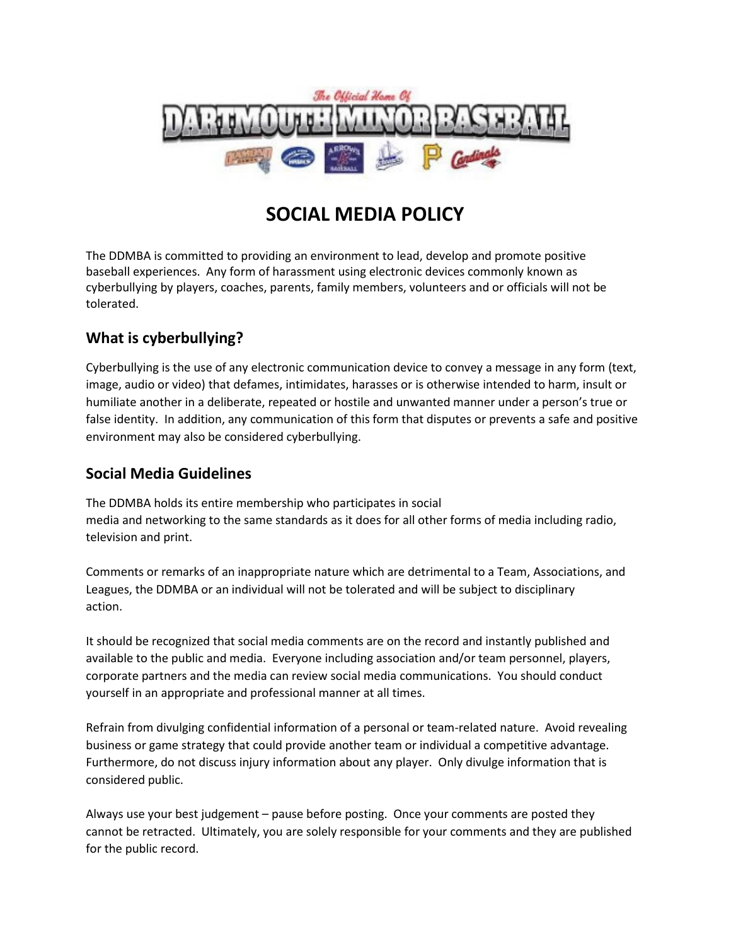

# **SOCIAL MEDIA POLICY**

The DDMBA is committed to providing an environment to lead, develop and promote positive baseball experiences. Any form of harassment using electronic devices commonly known as cyberbullying by players, coaches, parents, family members, volunteers and or officials will not be tolerated.

## **What is cyberbullying?**

Cyberbullying is the use of any electronic communication device to convey a message in any form (text, image, audio or video) that defames, intimidates, harasses or is otherwise intended to harm, insult or humiliate another in a deliberate, repeated or hostile and unwanted manner under a person's true or false identity. In addition, any communication of this form that disputes or prevents a safe and positive environment may also be considered cyberbullying.

### **Social Media Guidelines**

The DDMBA holds its entire membership who participates in social media and networking to the same standards as it does for all other forms of media including radio, television and print.

Comments or remarks of an inappropriate nature which are detrimental to a Team, Associations, and Leagues, the DDMBA or an individual will not be tolerated and will be subject to disciplinary action.

It should be recognized that social media comments are on the record and instantly published and available to the public and media. Everyone including association and/or team personnel, players, corporate partners and the media can review social media communications. You should conduct yourself in an appropriate and professional manner at all times.

Refrain from divulging confidential information of a personal or team-related nature. Avoid revealing business or game strategy that could provide another team or individual a competitive advantage. Furthermore, do not discuss injury information about any player. Only divulge information that is considered public.

Always use your best judgement – pause before posting. Once your comments are posted they cannot be retracted. Ultimately, you are solely responsible for your comments and they are published for the public record.